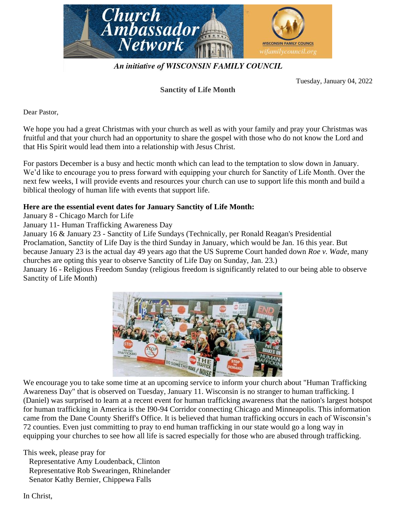

An initiative of WISCONSIN FAMILY COUNCIL

Tuesday, January 04, 2022

## **Sanctity of Life Month**

Dear Pastor,

We hope you had a great Christmas with your church as well as with your family and pray your Christmas was fruitful and that your church had an opportunity to share the gospel with those who do not know the Lord and that His Spirit would lead them into a relationship with Jesus Christ.

For pastors December is a busy and hectic month which can lead to the temptation to slow down in January. We'd like to encourage you to press forward with equipping your church for Sanctity of Life Month. Over the next few weeks, I will provide events and resources your church can use to support life this month and build a biblical theology of human life with events that support life.

## **Here are the essential event dates for January Sanctity of Life Month:**

January 8 - Chicago March for Life

January 11- Human Trafficking Awareness Day

January 16 & January 23 - Sanctity of Life Sundays (Technically, per Ronald Reagan's Presidential Proclamation, Sanctity of Life Day is the third Sunday in January, which would be Jan. 16 this year. But because January 23 is the actual day 49 years ago that the US Supreme Court handed down *Roe v. Wade*, many churches are opting this year to observe Sanctity of Life Day on Sunday, Jan. 23.)

January 16 - Religious Freedom Sunday (religious freedom is significantly related to our being able to observe Sanctity of Life Month)



We encourage you to take some time at an upcoming service to inform your church about "Human Trafficking Awareness Day" that is observed on Tuesday, January 11. Wisconsin is no stranger to human trafficking. I (Daniel) was surprised to learn at a recent event for human trafficking awareness that the nation's largest hotspot for human trafficking in America is the I90-94 Corridor connecting Chicago and Minneapolis. This information came from the Dane County Sheriff's Office. It is believed that human trafficking occurs in each of Wisconsin's 72 counties. Even just committing to pray to end human trafficking in our state would go a long way in equipping your churches to see how all life is sacred especially for those who are abused through trafficking.

This week, please pray for Representative Amy Loudenback, Clinton Representative Rob Swearingen, Rhinelander Senator Kathy Bernier, Chippewa Falls

In Christ,